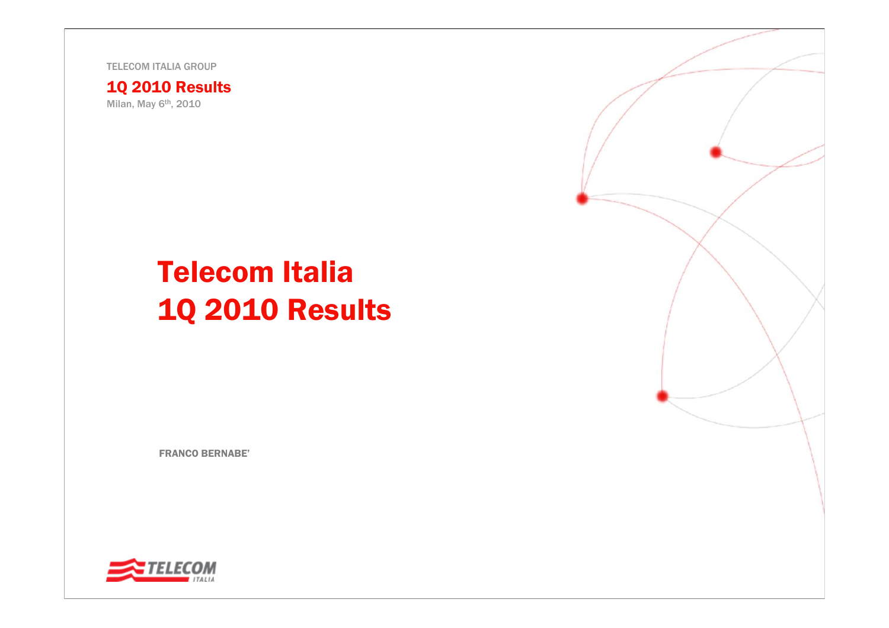TELECOM ITALIA GROUP

1Q 2010 Results Milan, May 6<sup>th</sup>, 2010

# Telecom Italia 1Q 2010 Results

FRANCO BERNABE'



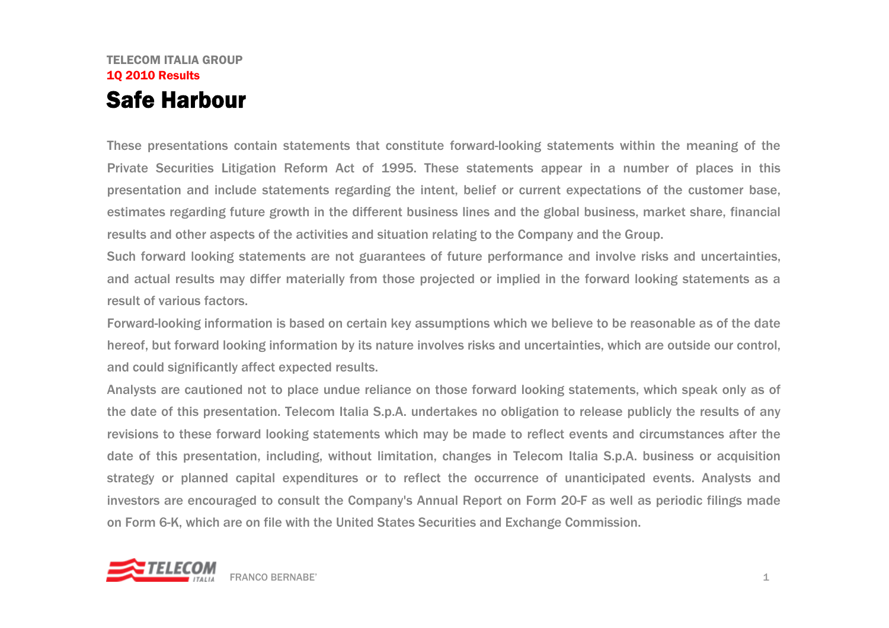### TELECOM ITALIA GROUP1Q 2010 Results Safe Harbour

These presentations contain statements that constitute forward-looking statements within the meaning of the Private Securities Litigation Reform Act of 1995. These statements appear in a number of places in this presentation and include statements regarding the intent, belief or current expectations of the customer base, estimates regarding future growth in the different business lines and the global business, market share, financial results and other aspects of the activities and situation relating to the Company and the Group.

Such forward looking statements are not guarantees of future performance and involve risks and uncertainties, and actual results may differ materially from those projected or implied in the forward looking statements as a result of various factors.

Forward-looking information is based on certain key assumptions which we believe to be reasonable as of the date hereof, but forward looking information by its nature involves risks and uncertainties, which are outside our control, and could significantly affect expected results.

Analysts are cautioned not to place undue reliance on those forward looking statements, which speak only as of the date of this presentation. Telecom Italia S.p.A. undertakes no obligation to release publicly the results of any revisions to these forward looking statements which may be made to reflect events and circumstances after the date of this presentation, including, without limitation, changes in Telecom Italia S.p.A. business or acquisition strategy or planned capital expenditures or to reflect the occurrence of unanticipated events. Analysts and investors are encouraged to consult the Company's Annual Report on Form 20-F as well as periodic filings made on Form 6-K, which are on file with the United States Securities and Exchange Commission.

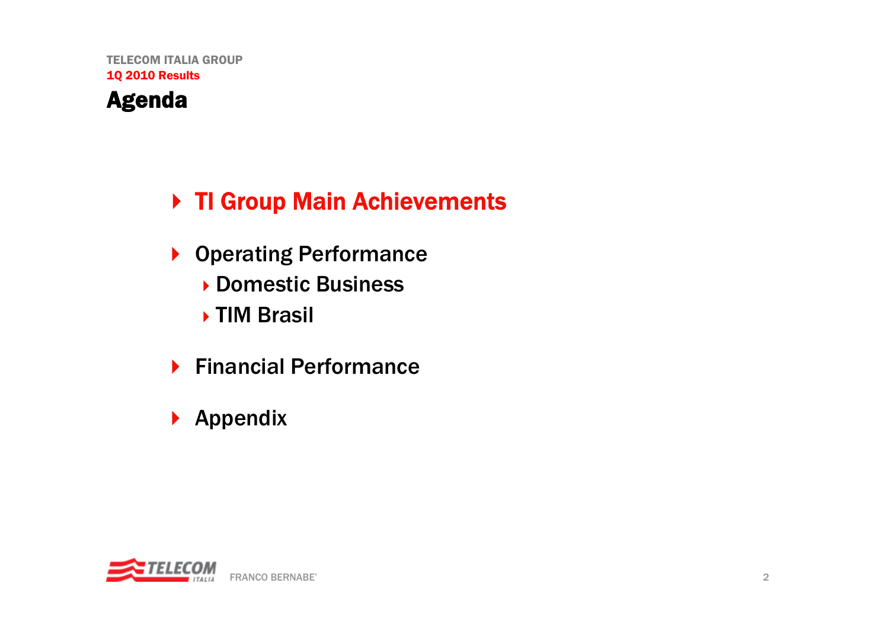# ▶ TI Group Main Achievements

- ▶ Operating Performance Domestic Business
	- ▶ TIM Brasil
- ▶ Financial Performance
- $\blacktriangleright$  Appendix

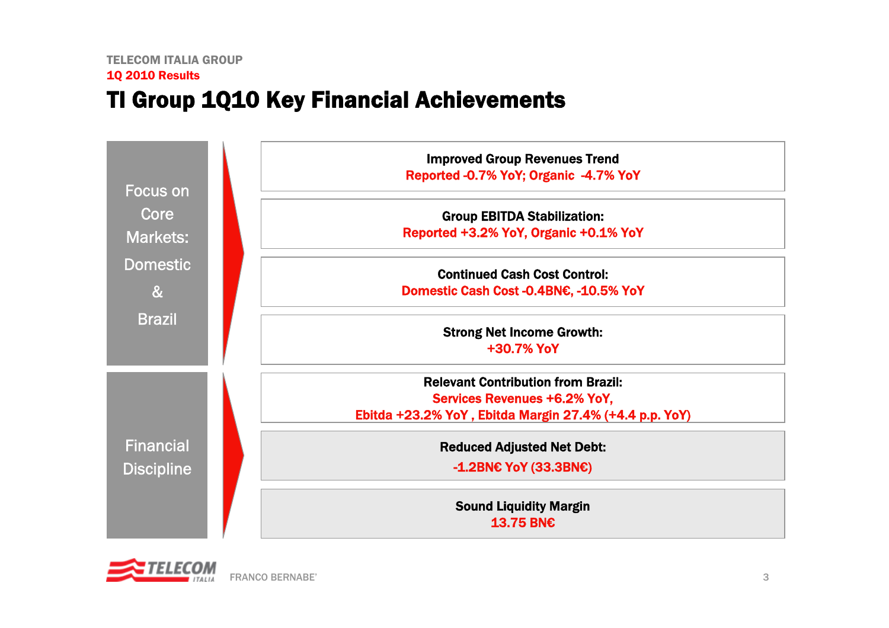# TI Group 1Q10 Key Financial Achievements



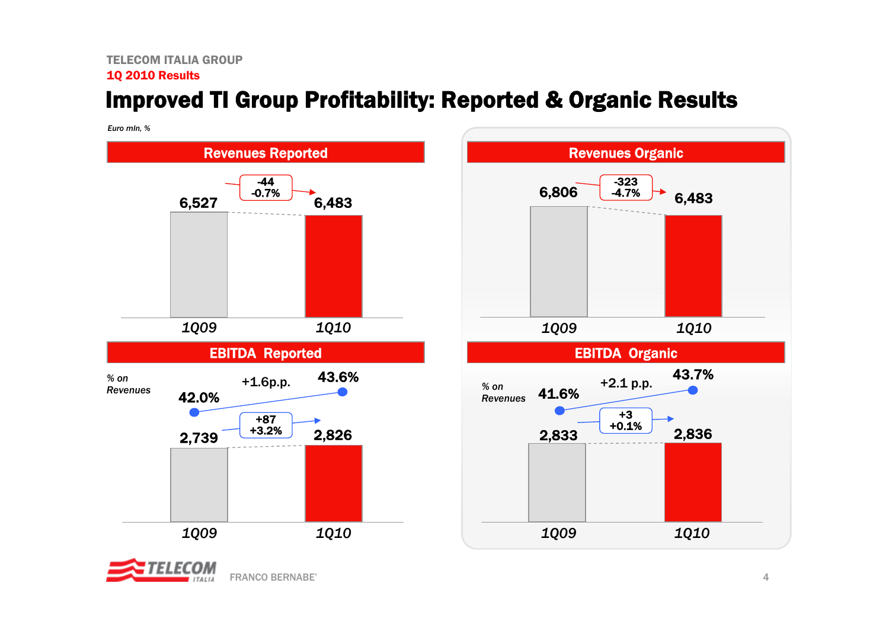# Improved TI Group Profitability: Reported & Organic Results

*Euro mln, %*





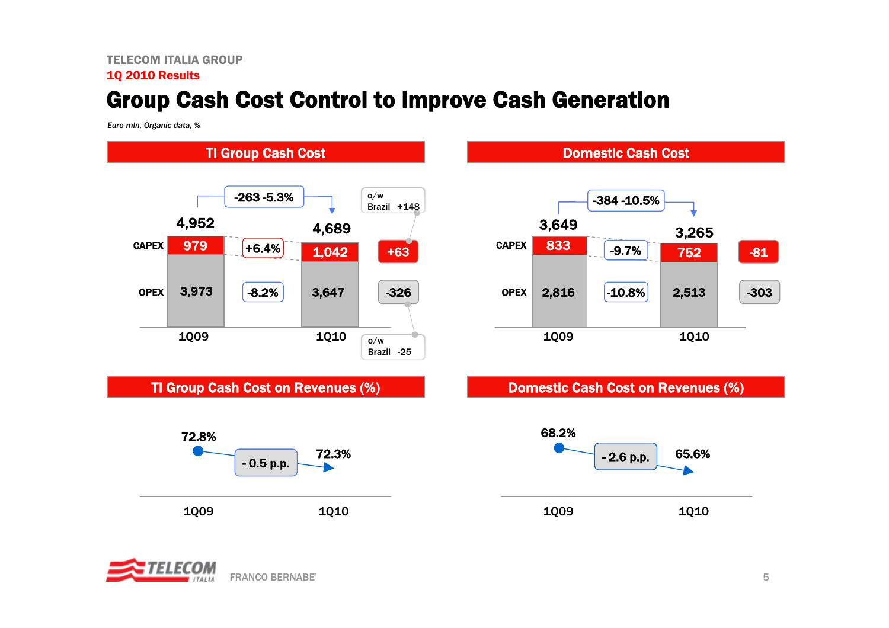# Group Cash Cost Control to improve Cash Generation

*Euro mln, Organic data, %*







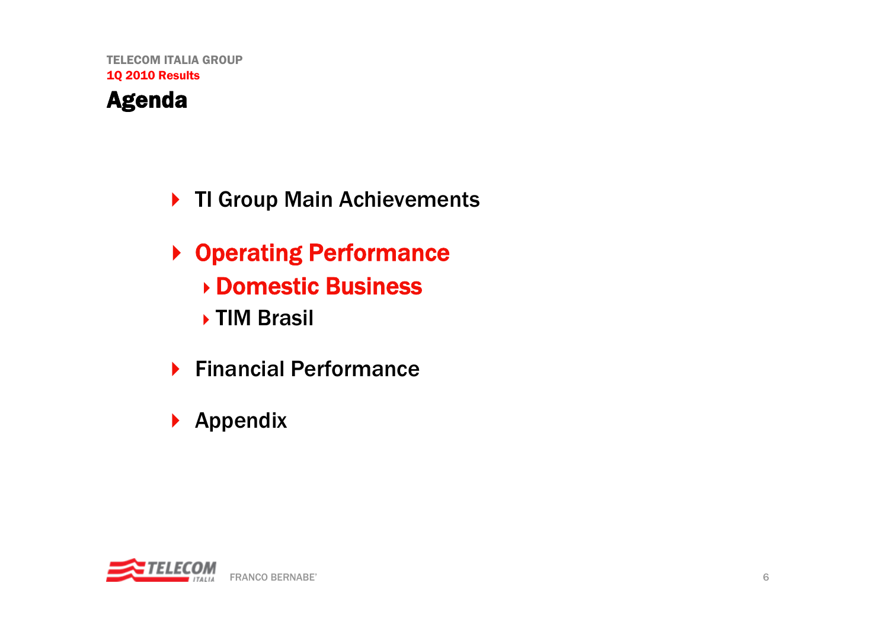- ▶ TI Group Main Achievements
- ▶ Operating Performance Domestic Business ▶ TIM Brasil
- ▶ Financial Performance
- $\blacktriangleright$  Appendix

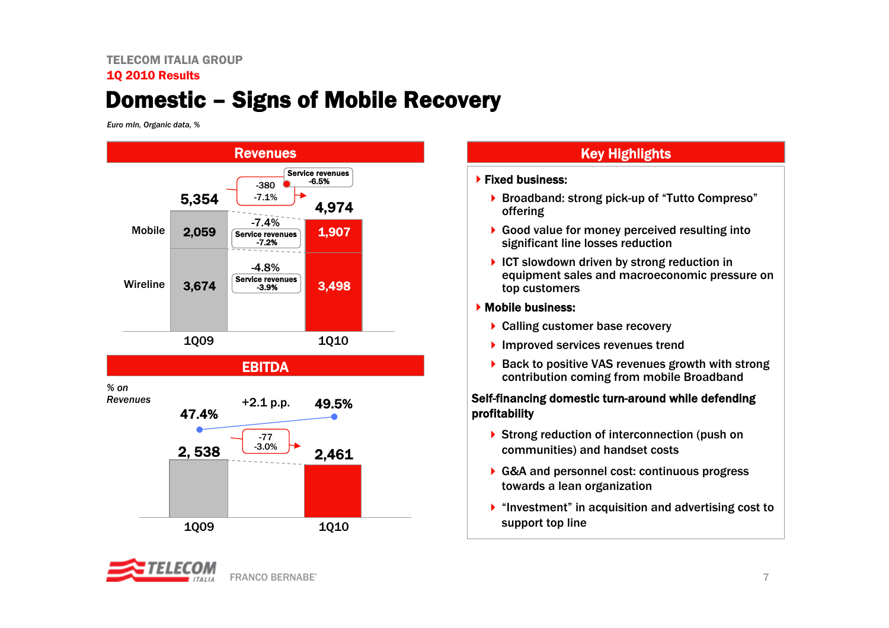# Domestic – Signs of Mobile Recovery

*Euro mln, Organic data, %*



### Key Highlights

#### $\blacktriangleright$  Fixed business:

- ▶ Broadband: strong pick-up of "Tutto Compreso" offering
- ▶ Good value for money perceived resulting into significant line losses reduction
- $\triangleright$  ICT slowdown driven by strong reduction in equipment sales and macroeconomic pressure on top customers

### Mobile business:

- ▶ Calling customer base recovery
- **▶ Improved services revenues trend**
- ▶ Back to positive VAS revenues growth with strong contribution coming from mobile Broadband

### Self-financing domestic turn-around while defending profitability

- ▶ Strong reduction of interconnection (push on communities) and handset costs
- G&A and personnel cost: continuous progress towards a lean organization
- $\blacktriangleright$  "Investment" in acquisition and advertising cost to support top line

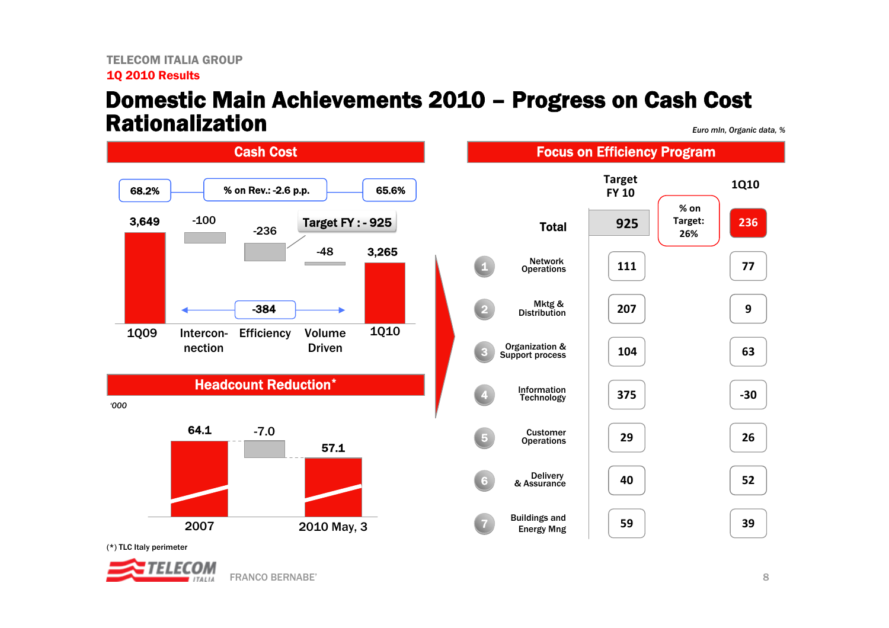### Domestic Main Achievements 2010 – Progress on Cash Cost Rationalization

*Euro mln, Organic data, %*



(\*) TLC Italy perimeter

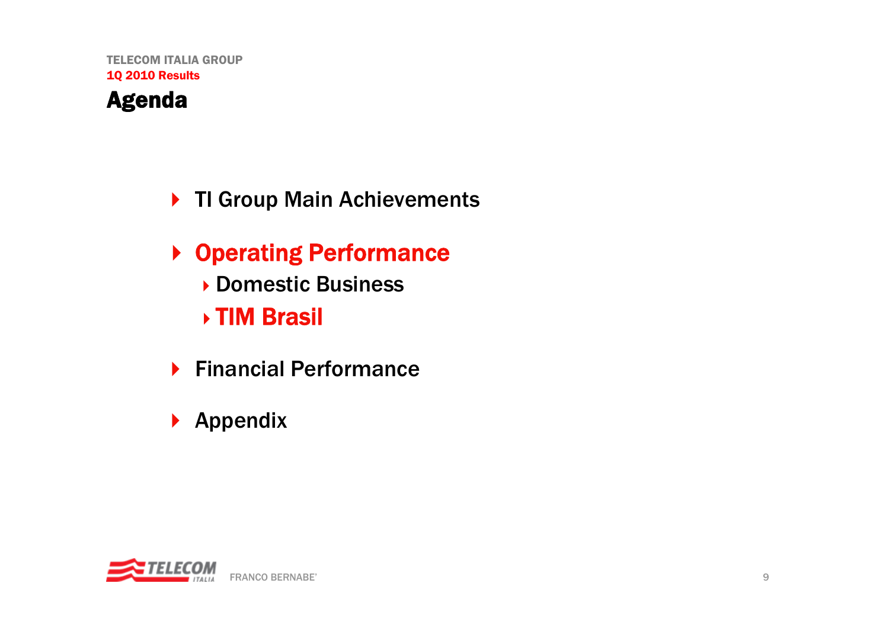# ▶ TI Group Main Achievements

- ▶ Operating Performance Domestic Business TIM Brasil
- ▶ Financial Performance
- $\blacktriangleright$  Appendix

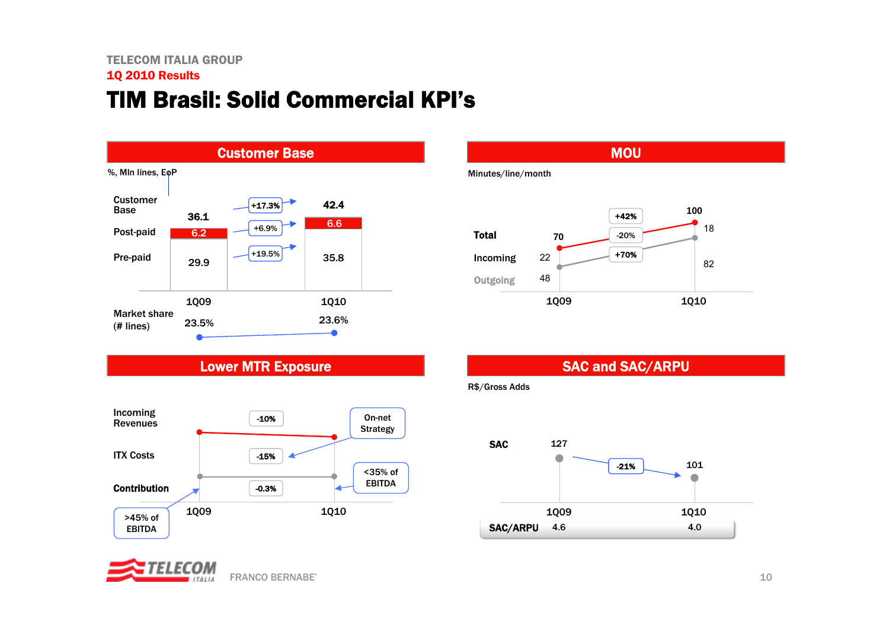# TIM Brasil: Solid Commercial KPI's



### Lower MTR Exposure



### TELECOM FRANCO BERNABE'

# Minutes/line/month MOU



### SAC and SAC/ARPU

R\$/Gross Adds

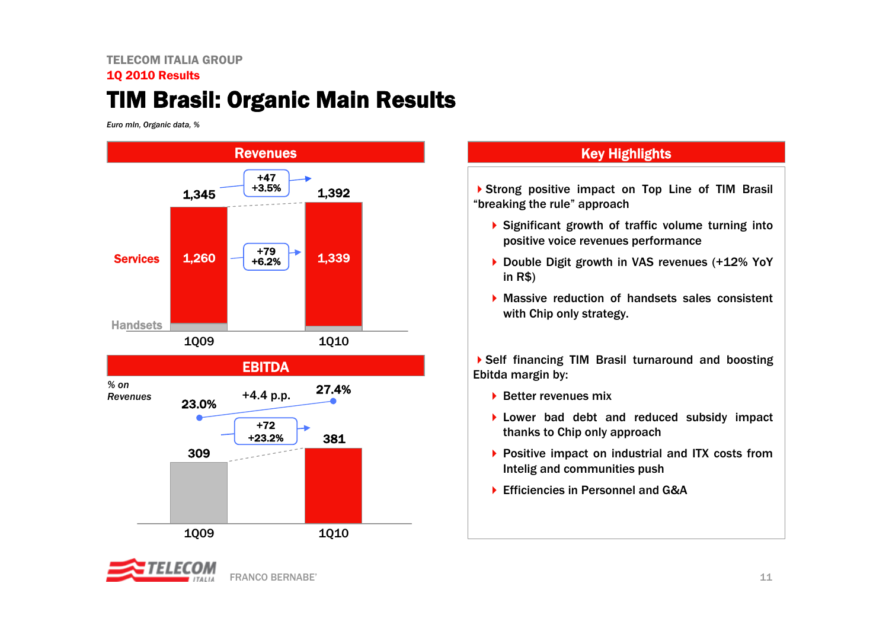# TIM Brasil: Organic Main Results

*Euro mln, Organic data, %*



# FRANCO BERNABE'

### Key Highlights

Strong positive impact on Top Line of TIM Brasil "breaking the rule" approach

- ▶ Significant growth of traffic volume turning into positive voice revenues performance
- ▶ Double Digit growth in VAS revenues (+12% YoY in R\$)
- Massive reduction of handsets sales consistent with Chip only strategy.

Self financing TIM Brasil turnaround and boosting Ebitda margin by:

- $\blacktriangleright$  Better revenues mix
- ▶ Lower bad debt and reduced subsidy impact thanks to Chip only approach
- ▶ Positive impact on industrial and ITX costs from Intelig and communities push
- ▶ Efficiencies in Personnel and G&A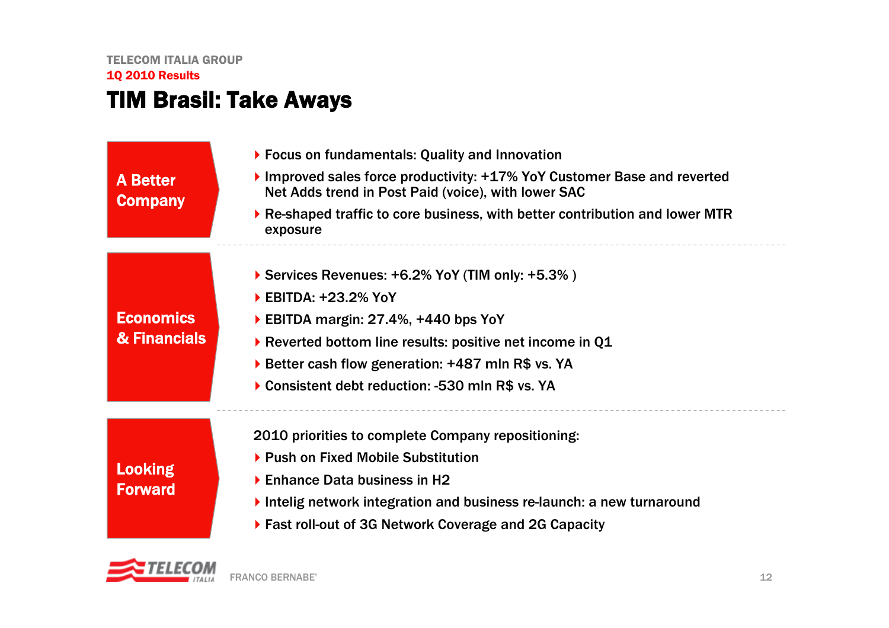## TIM Brasil: Take Aways

A Better **Company** 

**Economics** 

& Financials

- Focus on fundamentals: Quality and Innovation
- Improved sales force productivity: +17% YoY Customer Base and reverted Net Adds trend in Post Paid (voice), with lower SAC
- Re-shaped traffic to core business, with better contribution and lower MTR exposure
- ▶ Services Revenues: +6.2% YoY (TIM only: +5.3%)
- ▶ EBITDA: +23.2% YoY
- ▶ EBITDA margin: 27.4%, +440 bps YoY
- Reverted bottom line results: positive net income in Q1
- ▶ Better cash flow generation: +487 mln R\$ vs. YA
- ▶ Consistent debt reduction: -530 mln R\$ vs. YA

Looking Forward 2010 priorities to complete Company repositioning:

- ▶ Push on Fixed Mobile Substitution
- ▶ Enhance Data business in H2
- Intelig network integration and business re-launch: a new turnaround
- Fast roll-out of 3G Network Coverage and 2G Capacity

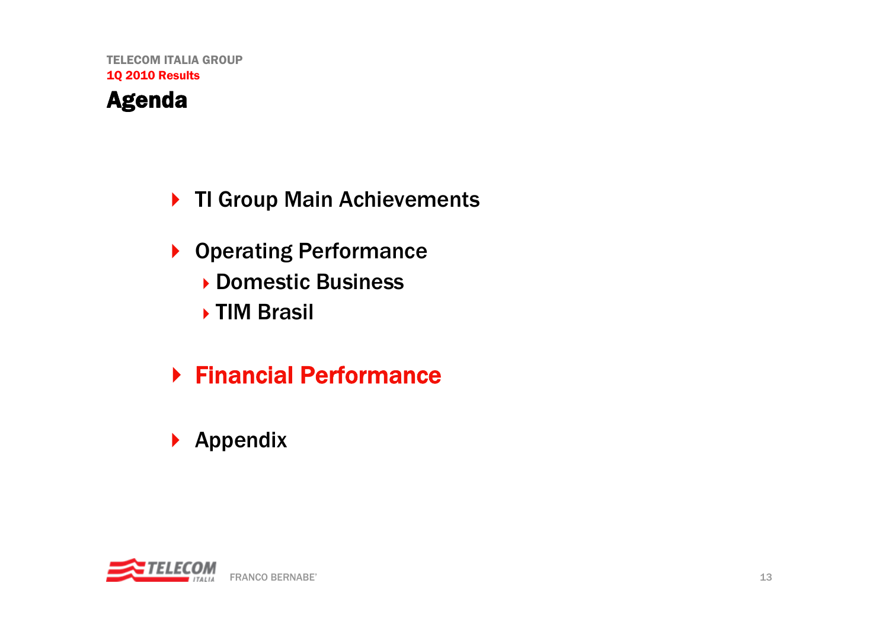# ▶ TI Group Main Achievements

- Operating Performance Domestic Business TIM Brasil
- Financial Performance
- $\blacktriangleright$  Appendix

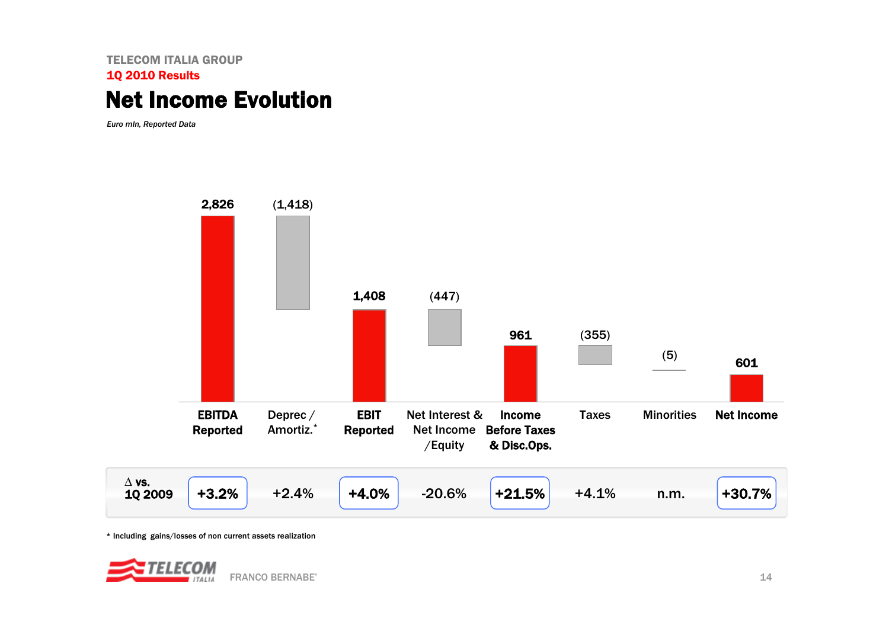## Net Income Evolution

*Euro mln, Reported Data*



\* Including gains/losses of non current assets realization

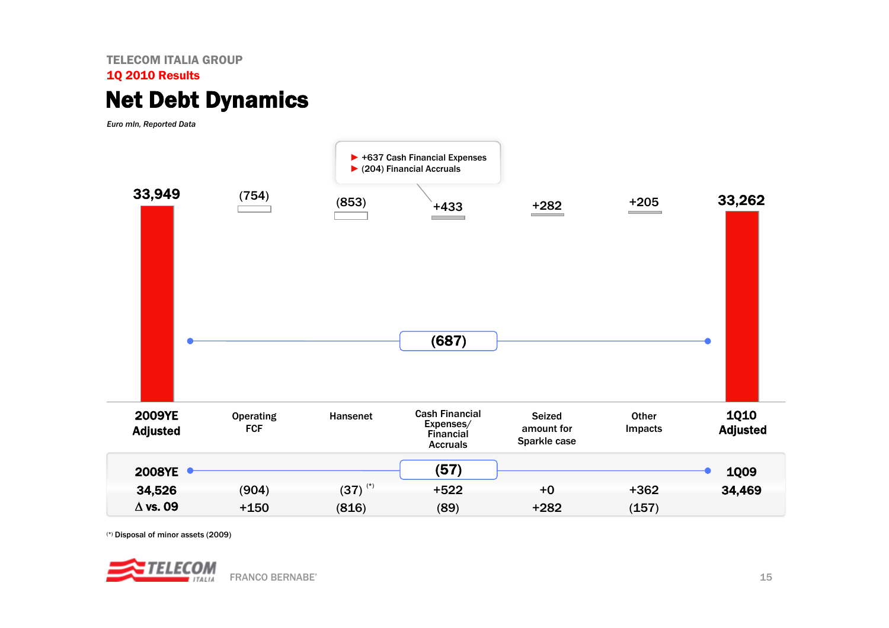# Net Debt Dynamics

*Euro mln, Reported Data*



(\*) Disposal of minor assets (2009)

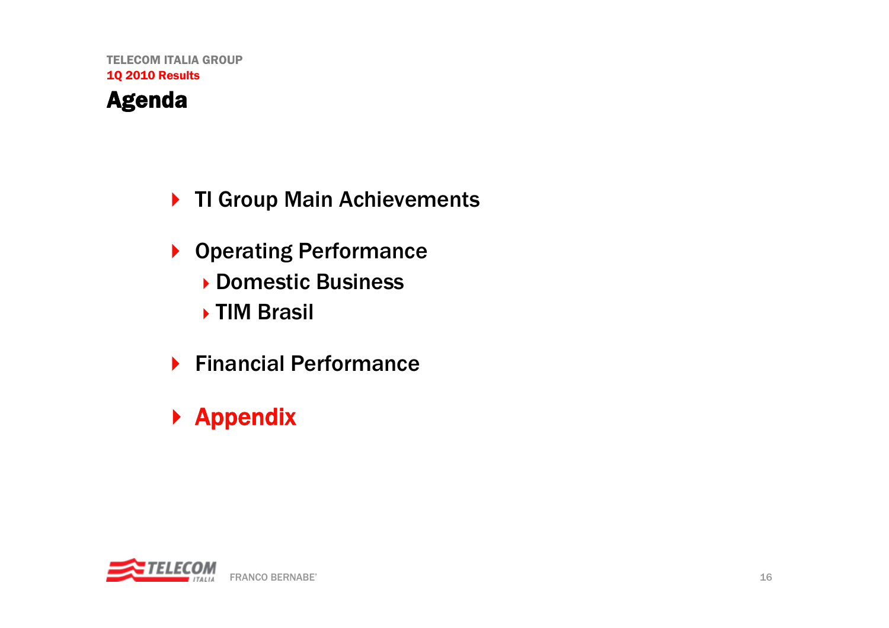# ▶ TI Group Main Achievements

- Operating Performance Domestic Business TIM Brasil
- ▶ Financial Performance

# ▶ Appendix

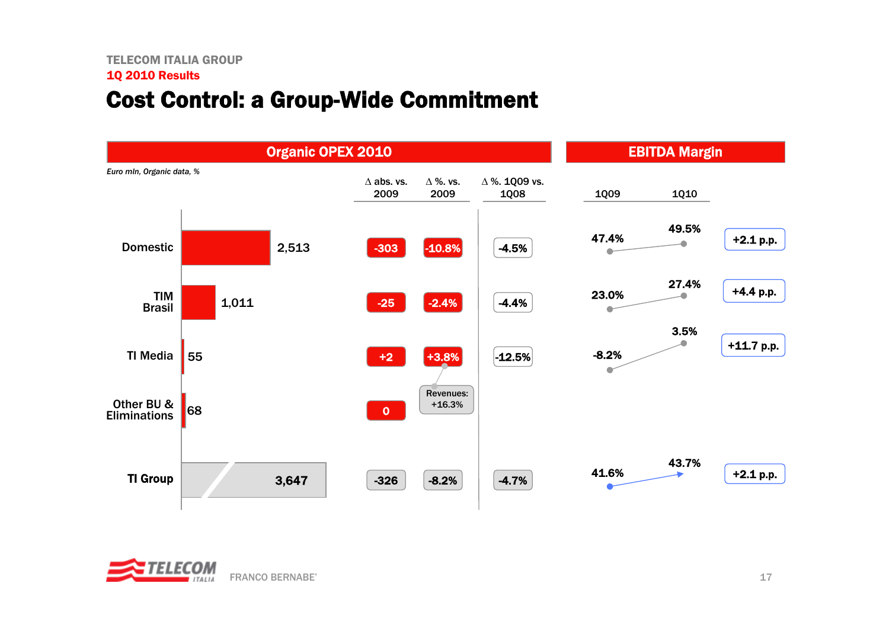# Cost Control: a Group-Wide Commitment



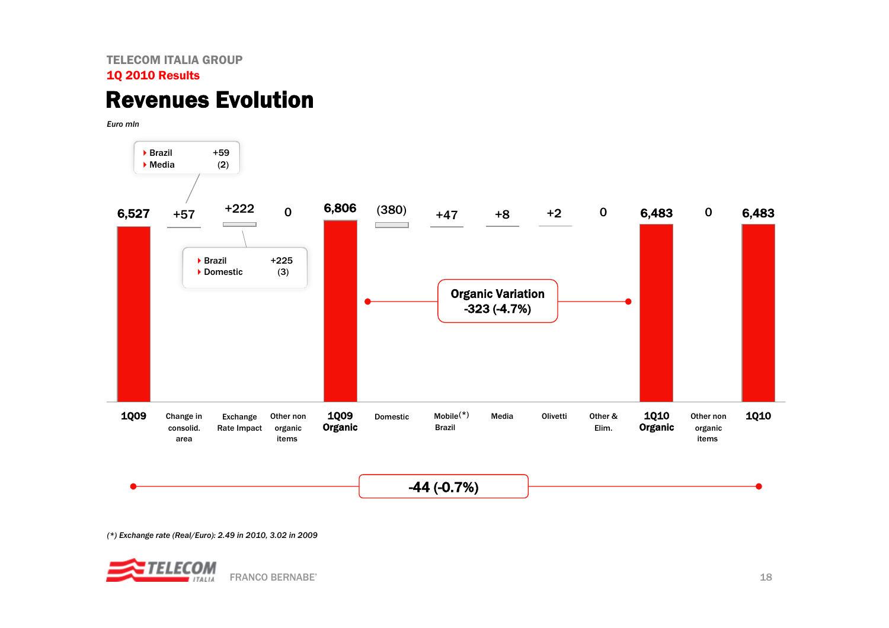# Revenues Evolution

*Euro mln*



*(\*) Exchange rate (Real/Euro): 2.49 in 2010, 3.02 in 2009*

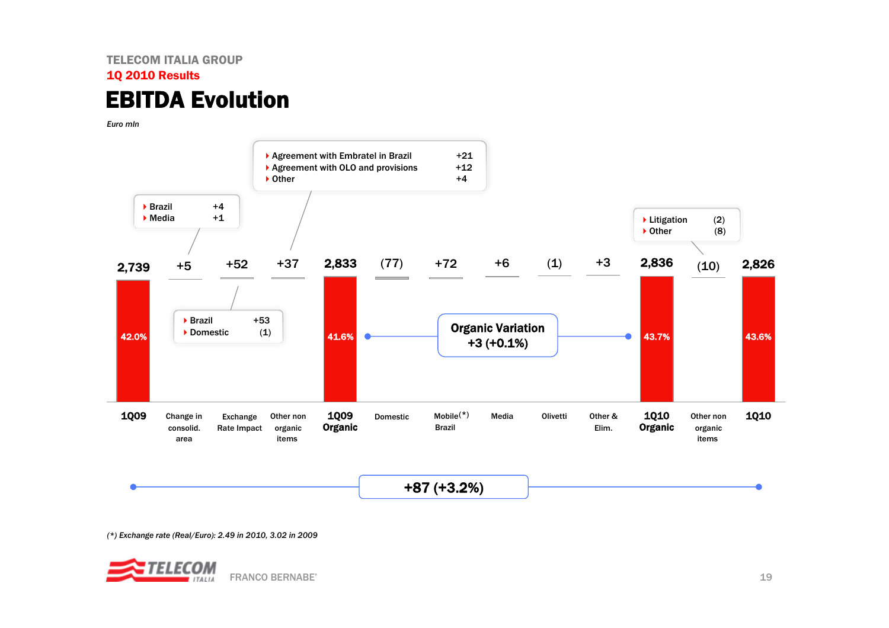### TELECOM ITALIA GROUP1Q 2010 Results EBITDA Evolution

*Euro mln* 



*(\*) Exchange rate (Real/Euro): 2.49 in 2010, 3.02 in 2009*

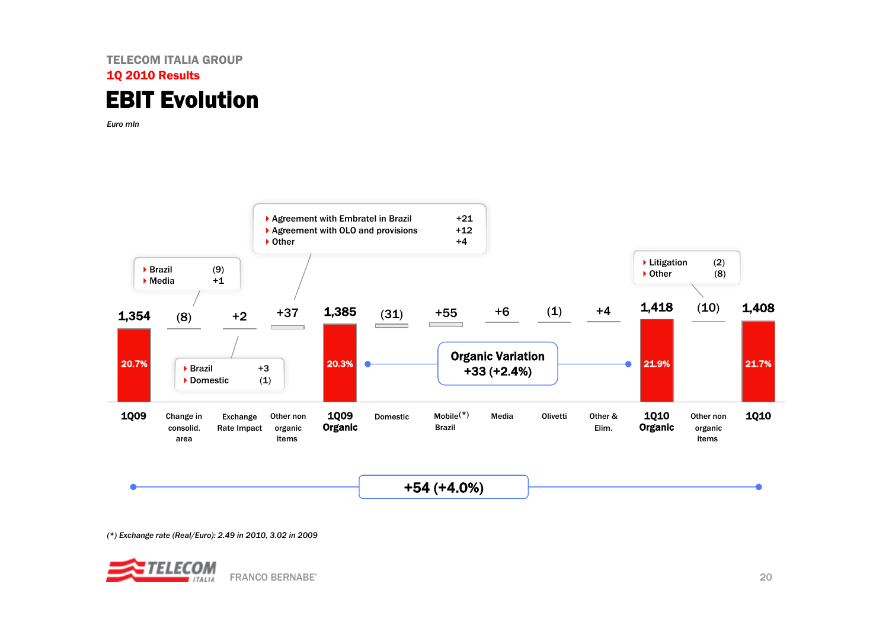

*Euro mln* 



*(\*) Exchange rate (Real/Euro): 2.49 in 2010, 3.02 in 2009*

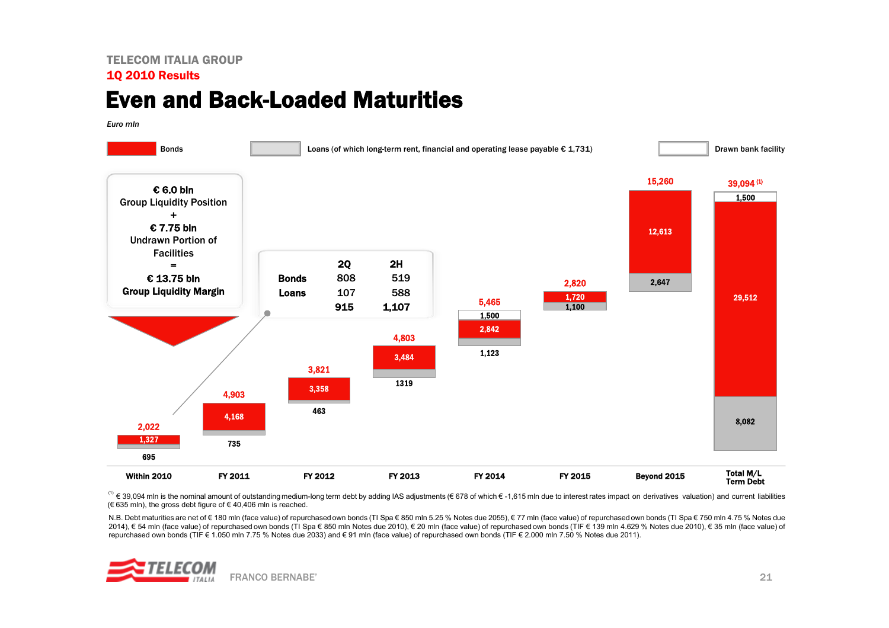# Even and Back-Loaded Maturities

*Euro mln*



(1) € 39,094 mln is the nominal amount of outstanding medium-long term debt by adding IAS adjustments (€ 678 of which € -1,615 mln due to interest rates impact on derivatives valuation) and current liabilities (€ 635 mln), the gross debt figure of € 40,406 mln is reached.

N.B. Debt maturities are net of € 180 mln (face value) of repurchased own bonds (TI Spa € 850 mln 6.25 % Notes due 2055), € 77 mln (face value) of repurchased own bonds (TI Spa € 750 mln 4.75 % Notes due 2014), € 54 mln (face value) of repurchased own bonds (TI Spa € 850 mln Notes due 2010), € 20 mln (face value) of repurchased own bonds (TIF € 139 mln 4.629 % Notes due 2010), € 35 mln (face value) of repurchased own bonds (TIF € 1.050 mln 7.75 % Notes due 2033) and € 91 mln (face value) of repurchased own bonds (TIF € 2.000 mln 7.50 % Notes due 2011).

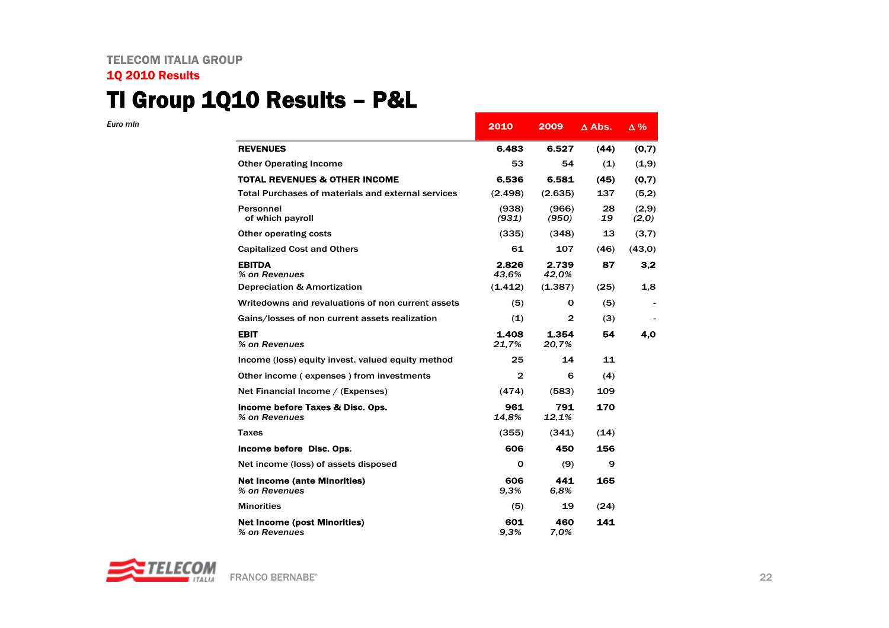## TI Group 1Q10 Results – P&L

*Euro mln*

|                                                      | 2010           | 2009           | $\Delta$ Abs. | $\Delta\%$     |
|------------------------------------------------------|----------------|----------------|---------------|----------------|
| <b>REVENUES</b>                                      | 6.483          | 6.527          | (44)          | (0,7)          |
| <b>Other Operating Income</b>                        | 53             | 54             | (1)           | (1,9)          |
| <b>TOTAL REVENUES &amp; OTHER INCOME</b>             | 6.536          | 6.581          | (45)          | (0,7)          |
| Total Purchases of materials and external services   | (2.498)        | (2.635)        | 137           | (5,2)          |
| Personnel<br>of which payroll                        | (938)<br>(931) | (966)<br>(950) | 28<br>19      | (2,9)<br>(2,0) |
| Other operating costs                                | (335)          | (348)          | 13            | (3,7)          |
| <b>Capitalized Cost and Others</b>                   | 61             | 107            | (46)          | (43,0)         |
| <b>EBITDA</b><br>% on Revenues                       | 2.826<br>43.6% | 2.739<br>42,0% | 87            | 3,2            |
| <b>Depreciation &amp; Amortization</b>               | (1.412)        | (1.387)        | (25)          | 1,8            |
| Writedowns and revaluations of non current assets    | (5)            | 0              | (5)           |                |
| Gains/losses of non current assets realization       | (1)            | 2              | (3)           |                |
| <b>EBIT</b><br>% on Revenues                         | 1.408<br>21,7% | 1.354<br>20.7% | 54            | 4.0            |
| Income (loss) equity invest. valued equity method    | 25             | 14             | 11            |                |
| Other income (expenses) from investments             | 2              | 6              | (4)           |                |
| Net Financial Income / (Expenses)                    | (474)          | (583)          | 109           |                |
| Income before Taxes & Disc. Ops.<br>% on Revenues    | 961<br>14,8%   | 791<br>12,1%   | 170           |                |
| Taxes                                                | (355)          | (341)          | (14)          |                |
| Income before Disc. Ops.                             | 606            | 450            | 156           |                |
| Net income (loss) of assets disposed                 | 0              | (9)            | 9             |                |
| <b>Net Income (ante Minorities)</b><br>% on Revenues | 606<br>9.3%    | 441<br>6.8%    | 165           |                |
| <b>Minorities</b>                                    | (5)            | 19             | (24)          |                |
| <b>Net Income (post Minorities)</b><br>% on Revenues | 601<br>9.3%    | 460<br>7.0%    | 141           |                |